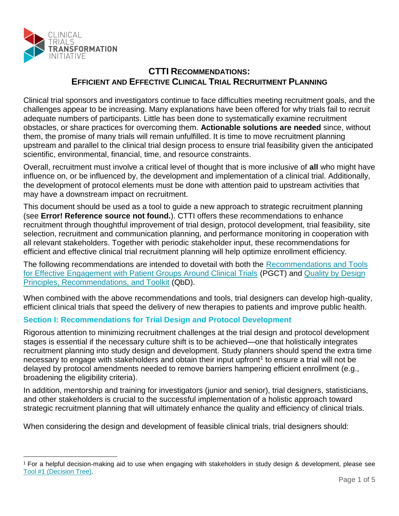

 $\overline{a}$ 

# **CTTI RECOMMENDATIONS: EFFICIENT AND EFFECTIVE CLINICAL TRIAL RECRUITMENT PLANNING**

Clinical trial sponsors and investigators continue to face difficulties meeting recruitment goals, and the challenges appear to be increasing. Many explanations have been offered for why trials fail to recruit adequate numbers of participants. Little has been done to systematically examine recruitment obstacles, or share practices for overcoming them. **Actionable solutions are needed** since, without them, the promise of many trials will remain unfulfilled. It is time to move recruitment planning upstream and parallel to the clinical trial design process to ensure trial feasibility given the anticipated scientific, environmental, financial, time, and resource constraints.

Overall, recruitment must involve a critical level of thought that is more inclusive of **all** who might have influence on, or be influenced by, the development and implementation of a clinical trial. Additionally, the development of protocol elements must be done with attention paid to upstream activities that may have a downstream impact on recruitment.

This document should be used as a tool to guide a new approach to strategic recruitment planning (see **Error! Reference source not found.**). CTTI offers these recommendations to enhance recruitment through thoughtful improvement of trial design, protocol development, trial feasibility, site selection, recruitment and communication planning, and performance monitoring in cooperation with all relevant stakeholders. Together with periodic stakeholder input, these recommendations for efficient and effective clinical trial recruitment planning will help optimize enrollment efficiency.

The following recommendations are intended to dovetail with both the [Recommendations and Tools](http://www.ctti-clinicaltrials.org/what-we-do/projects/patient-groups/products)  [for Effective Engagement with Patient Groups Around Clinical Trials](http://www.ctti-clinicaltrials.org/what-we-do/projects/patient-groups/products) (PGCT) and [Quality by Design](http://www.ctti-clinicaltrials.org/what-we-do/investigational-plan/qbd-qrm/products)  [Principles, Recommendations, and Toolkit](http://www.ctti-clinicaltrials.org/what-we-do/investigational-plan/qbd-qrm/products) (QbD).

When combined with the above recommendations and tools, trial designers can develop high-quality, efficient clinical trials that speed the delivery of new therapies to patients and improve public health.

# **Section I: Recommendations for Trial Design and Protocol Development**

Rigorous attention to minimizing recruitment challenges at the trial design and protocol development stages is essential if the necessary culture shift is to be achieved—one that holistically integrates recruitment planning into study design and development. Study planners should spend the extra time necessary to engage with stakeholders and obtain their input upfront<sup>1</sup> to ensure a trial will not be delayed by protocol amendments needed to remove barriers hampering efficient enrollment (e.g., broadening the eligibility criteria).

In addition, mentorship and training for investigators (junior and senior), trial designers, statisticians, and other stakeholders is crucial to the successful implementation of a holistic approach toward strategic recruitment planning that will ultimately enhance the quality and efficiency of clinical trials.

When considering the design and development of feasible clinical trials, trial designers should:

<sup>1</sup> For a helpful decision-making aid to use when engaging with stakeholders in study design & development, please see [Tool #1 \(Decision Tree\).](http://www.ctti-clinicaltrials.org/files/Recruitment_Retention/Recruitment-Tool-1-DecisionTree.pdf)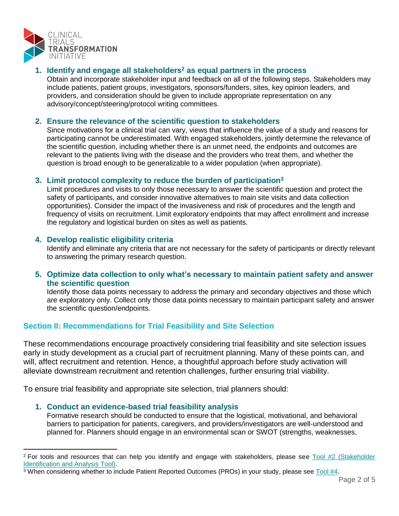

# **1. Identify and engage all stakeholders<sup>2</sup> as equal partners in the process**

Obtain and incorporate stakeholder input and feedback on all of the following steps. Stakeholders may include patients, patient groups, investigators, sponsors/funders, sites, key opinion leaders, and providers, and consideration should be given to include appropriate representation on any advisory/concept/steering/protocol writing committees.

# **2. Ensure the relevance of the scientific question to stakeholders**

Since motivations for a clinical trial can vary, views that influence the value of a study and reasons for participating cannot be underestimated. With engaged stakeholders, jointly determine the relevance of the scientific question, including whether there is an unmet need, the endpoints and outcomes are relevant to the patients living with the disease and the providers who treat them, and whether the question is broad enough to be generalizable to a wider population (when appropriate).

# **3. Limit protocol complexity to reduce the burden of participation<sup>3</sup>**

Limit procedures and visits to only those necessary to answer the scientific question and protect the safety of participants, and consider innovative alternatives to main site visits and data collection opportunities). Consider the impact of the invasiveness and risk of procedures and the length and frequency of visits on recruitment. Limit exploratory endpoints that may affect enrollment and increase the regulatory and logistical burden on sites as well as patients.

# **4. Develop realistic eligibility criteria**

Identify and eliminate any criteria that are not necessary for the safety of participants or directly relevant to answering the primary research question.

# **5. Optimize data collection to only what's necessary to maintain patient safety and answer the scientific question**

Identify those data points necessary to address the primary and secondary objectives and those which are exploratory only. Collect only those data points necessary to maintain participant safety and answer the scientific question/endpoints.

# **Section II: Recommendations for Trial Feasibility and Site Selection**

These recommendations encourage proactively considering trial feasibility and site selection issues early in study development as a crucial part of recruitment planning. Many of these points can, and will, affect recruitment and retention. Hence, a thoughtful approach before study activation will alleviate downstream recruitment and retention challenges, further ensuring trial viability.

To ensure trial feasibility and appropriate site selection, trial planners should:

# **1. Conduct an evidence-based trial feasibility analysis**

 $\overline{a}$ 

Formative research should be conducted to ensure that the logistical, motivational, and behavioral barriers to participation for patients, caregivers, and providers/investigators are well-understood and planned for. Planners should engage in an environmental scan or SWOT (strengths, weaknesses,

<sup>&</sup>lt;sup>2</sup> For tools and resources that can help you identify and engage with stakeholders, please see Tool #2 (Stakeholder [Identification and Analysis Tool\).](http://www.ctti-clinicaltrials.org/files/Recruitment_Retention/Recruitment-Tool-2-Stakeholder.pdf)

<sup>3</sup> When considering whether to include Patient Reported Outcomes (PROs) in your study, please see [Tool #4.](http://www.ctti-clinicaltrials.org/files/Recruitment_Retention/Recruitment-Tool-4-PatientReportedOutcomes.pdf)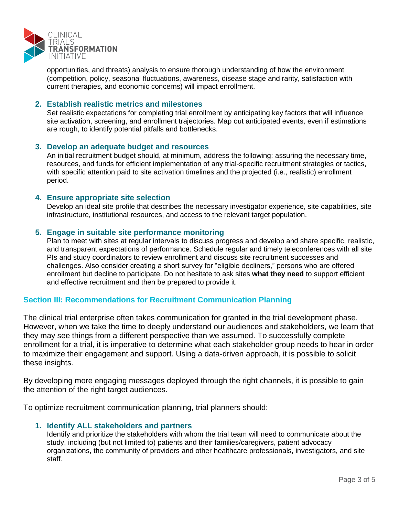

opportunities, and threats) analysis to ensure thorough understanding of how the environment (competition, policy, seasonal fluctuations, awareness, disease stage and rarity, satisfaction with current therapies, and economic concerns) will impact enrollment.

#### **2. Establish realistic metrics and milestones**

Set realistic expectations for completing trial enrollment by anticipating key factors that will influence site activation, screening, and enrollment trajectories. Map out anticipated events, even if estimations are rough, to identify potential pitfalls and bottlenecks.

#### **3. Develop an adequate budget and resources**

An initial recruitment budget should, at minimum, address the following: assuring the necessary time, resources, and funds for efficient implementation of any trial-specific recruitment strategies or tactics, with specific attention paid to site activation timelines and the projected (i.e., realistic) enrollment period.

#### **4. Ensure appropriate site selection**

Develop an ideal site profile that describes the necessary investigator experience, site capabilities, site infrastructure, institutional resources, and access to the relevant target population.

#### **5. Engage in suitable site performance monitoring**

Plan to meet with sites at regular intervals to discuss progress and develop and share specific, realistic, and transparent expectations of performance. Schedule regular and timely teleconferences with all site PIs and study coordinators to review enrollment and discuss site recruitment successes and challenges. Also consider creating a short survey for "eligible decliners," persons who are offered enrollment but decline to participate. Do not hesitate to ask sites **what they need** to support efficient and effective recruitment and then be prepared to provide it.

# **Section III: Recommendations for Recruitment Communication Planning**

The clinical trial enterprise often takes communication for granted in the trial development phase. However, when we take the time to deeply understand our audiences and stakeholders, we learn that they may see things from a different perspective than we assumed. To successfully complete enrollment for a trial, it is imperative to determine what each stakeholder group needs to hear in order to maximize their engagement and support. Using a data-driven approach, it is possible to solicit these insights.

By developing more engaging messages deployed through the right channels, it is possible to gain the attention of the right target audiences.

To optimize recruitment communication planning, trial planners should:

#### **1. Identify ALL stakeholders and partners**

Identify and prioritize the stakeholders with whom the trial team will need to communicate about the study, including (but not limited to) patients and their families/caregivers, patient advocacy organizations, the community of providers and other healthcare professionals, investigators, and site staff.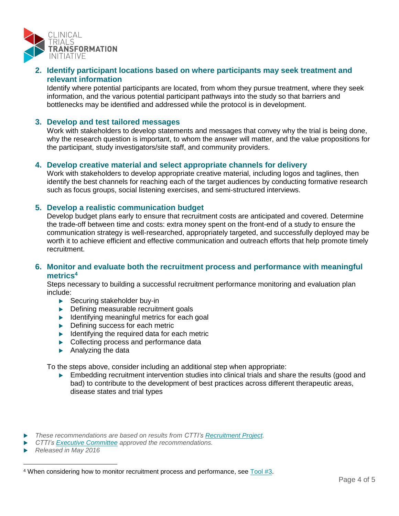

# **2. Identify participant locations based on where participants may seek treatment and relevant information**

Identify where potential participants are located, from whom they pursue treatment, where they seek information, and the various potential participant pathways into the study so that barriers and bottlenecks may be identified and addressed while the protocol is in development.

#### **3. Develop and test tailored messages**

Work with stakeholders to develop statements and messages that convey why the trial is being done, why the research question is important, to whom the answer will matter, and the value propositions for the participant, study investigators/site staff, and community providers.

#### **4. Develop creative material and select appropriate channels for delivery**

Work with stakeholders to develop appropriate creative material, including logos and taglines, then identify the best channels for reaching each of the target audiences by conducting formative research such as focus groups, social listening exercises, and semi-structured interviews.

#### **5. Develop a realistic communication budget**

Develop budget plans early to ensure that recruitment costs are anticipated and covered. Determine the trade-off between time and costs: extra money spent on the front-end of a study to ensure the communication strategy is well-researched, appropriately targeted, and successfully deployed may be worth it to achieve efficient and effective communication and outreach efforts that help promote timely recruitment.

# **6. Monitor and evaluate both the recruitment process and performance with meaningful metrics<sup>4</sup>**

Steps necessary to building a successful recruitment performance monitoring and evaluation plan include:

- ▶ Securing stakeholder buy-in
- **Defining measurable recruitment goals**
- $\blacktriangleright$  Identifying meaningful metrics for each goal
- ▶ Defining success for each metric
- $\blacktriangleright$  Identifying the required data for each metric
- ▶ Collecting process and performance data
- Analyzing the data

To the steps above, consider including an additional step when appropriate:

**Embedding recruitment intervention studies into clinical trials and share the results (good and** bad) to contribute to the development of best practices across different therapeutic areas, disease states and trial types

 $\overline{a}$ 

*These recommendations are based on results from CTTI's [Recruitment](http://www.ctti-clinicaltrials.org/what-we-do/ctti-projects/recruitment-retention) Project.*

*CTTI's [Executive Committee](http://www.ctti-clinicaltrials.org/who-we-are/organizational-structure/executive-committee) approved the recommendations.*

*Released in May 2016*

<sup>4</sup> When considering how to monitor recruitment process and performance, see [Tool #3.](http://www.ctti-clinicaltrials.org/files/Recruitment_Retention/Recruitment-Tool-3-Monitoring.pdf)